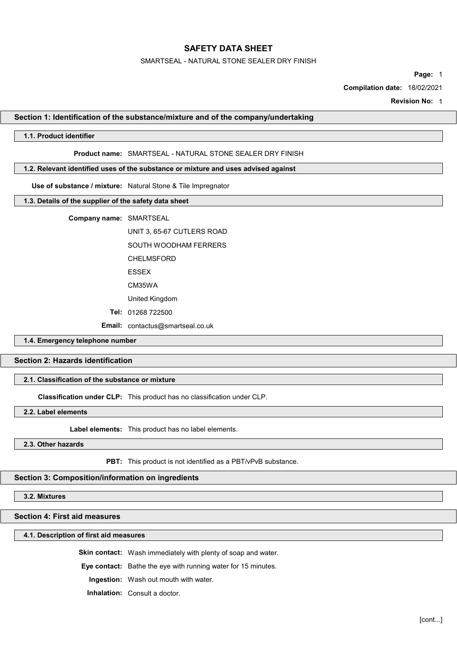#### SMARTSEAL - NATURAL STONE SEALER DRY FINISH

Page: 1

Compilation date: 18/02/2021

Revision No: 1

### Section 1: Identification of the substance/mixture and of the company/undertaking

## 1.1. Product identifier

### Product name: SMARTSEAL - NATURAL STONE SEALER DRY FINISH

### 1.2. Relevant identified uses of the substance or mixture and uses advised against

Use of substance / mixture: Natural Stone & Tile Impregnator

## 1.3. Details of the supplier of the safety data sheet

Company name: SMARTSEAL

UNIT 3, 65-67 CUTLERS ROAD

SOUTH WOODHAM FERRERS

CHELMSFORD

ESSEX

CM35WA

United Kingdom

Tel: 01268 722500

Email: contactus@smartseal.co.uk

## 1.4. Emergency telephone number

## Section 2: Hazards identification

## 2.1. Classification of the substance or mixture

Classification under CLP: This product has no classification under CLP.

2.2. Label elements

Label elements: This product has no label elements.

### 2.3. Other hazards

PBT: This product is not identified as a PBT/vPvB substance.

## Section 3: Composition/information on ingredients

3.2. Mixtures

## Section 4: First aid measures

#### 4.1. Description of first aid measures

Skin contact: Wash immediately with plenty of soap and water.

Eye contact: Bathe the eye with running water for 15 minutes.

Ingestion: Wash out mouth with water.

Inhalation: Consult a doctor.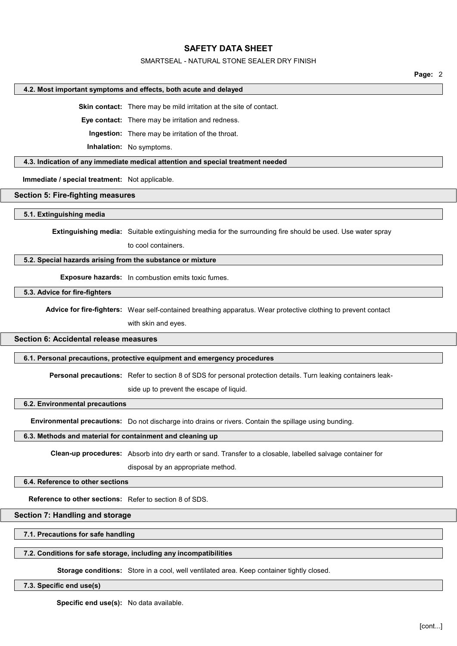## SMARTSEAL - NATURAL STONE SEALER DRY FINISH

Page: 2

#### 4.2. Most important symptoms and effects, both acute and delayed

Skin contact: There may be mild irritation at the site of contact.

Eye contact: There may be irritation and redness.

Ingestion: There may be irritation of the throat.

Inhalation: No symptoms.

## 4.3. Indication of any immediate medical attention and special treatment needed

Immediate / special treatment: Not applicable.

#### Section 5: Fire-fighting measures

#### 5.1. Extinguishing media

Extinguishing media: Suitable extinguishing media for the surrounding fire should be used. Use water spray

to cool containers.

#### 5.2. Special hazards arising from the substance or mixture

Exposure hazards: In combustion emits toxic fumes.

5.3. Advice for fire-fighters

Advice for fire-fighters: Wear self-contained breathing apparatus. Wear protective clothing to prevent contact

with skin and eyes.

# Section 6: Accidental release measures

### 6.1. Personal precautions, protective equipment and emergency procedures

Personal precautions: Refer to section 8 of SDS for personal protection details. Turn leaking containers leak-

side up to prevent the escape of liquid.

### 6.2. Environmental precautions

Environmental precautions: Do not discharge into drains or rivers. Contain the spillage using bunding.

#### 6.3. Methods and material for containment and cleaning up

Clean-up procedures: Absorb into dry earth or sand. Transfer to a closable, labelled salvage container for

disposal by an appropriate method.

## 6.4. Reference to other sections

Reference to other sections: Refer to section 8 of SDS.

## Section 7: Handling and storage

## 7.1. Precautions for safe handling

#### 7.2. Conditions for safe storage, including any incompatibilities

Storage conditions: Store in a cool, well ventilated area. Keep container tightly closed.

#### 7.3. Specific end use(s)

Specific end use(s): No data available.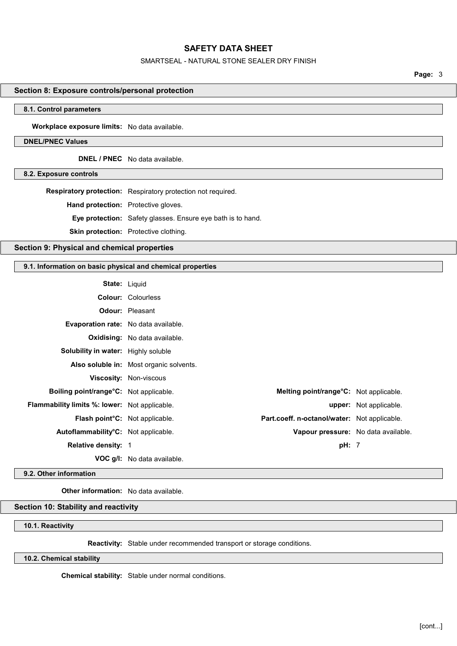### SMARTSEAL - NATURAL STONE SEALER DRY FINISH

Page: 3

## Section 8: Exposure controls/personal protection

#### 8.1. Control parameters

Workplace exposure limits: No data available.

## DNEL/PNEC Values

DNEL / PNEC No data available.

8.2. Exposure controls

Respiratory protection: Respiratory protection not required. Hand protection: Protective gloves. Eye protection: Safety glasses. Ensure eye bath is to hand. Skin protection: Protective clothing.

Section 9: Physical and chemical properties

## 9.1. Information on basic physical and chemical properties

| <b>State: Liquid</b>                             |                                              |                                     |
|--------------------------------------------------|----------------------------------------------|-------------------------------------|
|                                                  | <b>Colour: Colourless</b>                    |                                     |
|                                                  | <b>Odour:</b> Pleasant                       |                                     |
| <b>Evaporation rate:</b> No data available.      |                                              |                                     |
|                                                  | <b>Oxidising:</b> No data available.         |                                     |
| Solubility in water: Highly soluble              |                                              |                                     |
|                                                  | Also soluble in: Most organic solvents.      |                                     |
|                                                  | Viscosity: Non-viscous                       |                                     |
| Boiling point/range°C: Not applicable.           | Melting point/range°C: Not applicable.       |                                     |
| Flammability limits %: lower: Not applicable.    |                                              | <b>upper:</b> Not applicable.       |
| Flash point°C: Not applicable.                   | Part.coeff. n-octanol/water: Not applicable. |                                     |
| Autoflammability <sup>o</sup> C: Not applicable. |                                              | Vapour pressure: No data available. |
| <b>Relative density: 1</b>                       |                                              | pH: 7                               |
|                                                  | <b>VOC g/l:</b> No data available.           |                                     |

## 9.2. Other information

Other information: No data available.

## Section 10: Stability and reactivity

10.1. Reactivity

Reactivity: Stable under recommended transport or storage conditions.

## 10.2. Chemical stability

Chemical stability: Stable under normal conditions.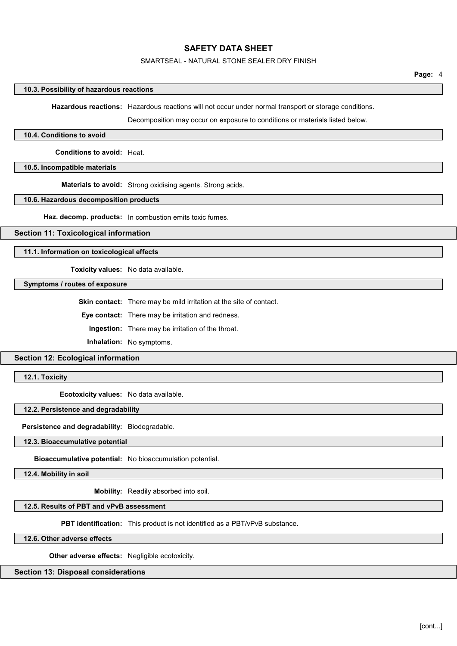## SMARTSEAL - NATURAL STONE SEALER DRY FINISH

#### 10.3. Possibility of hazardous reactions

Hazardous reactions: Hazardous reactions will not occur under normal transport or storage conditions.

Decomposition may occur on exposure to conditions or materials listed below.

#### 10.4. Conditions to avoid

Conditions to avoid: Heat.

#### 10.5. Incompatible materials

Materials to avoid: Strong oxidising agents. Strong acids.

#### 10.6. Hazardous decomposition products

Haz. decomp. products: In combustion emits toxic fumes.

## Section 11: Toxicological information

11.1. Information on toxicological effects

Toxicity values: No data available.

Symptoms / routes of exposure

Skin contact: There may be mild irritation at the site of contact.

Eye contact: There may be irritation and redness.

Ingestion: There may be irritation of the throat.

Inhalation: No symptoms.

# Section 12: Ecological information

12.1. Toxicity

Ecotoxicity values: No data available.

## 12.2. Persistence and degradability

Persistence and degradability: Biodegradable.

12.3. Bioaccumulative potential

Bioaccumulative potential: No bioaccumulation potential.

12.4. Mobility in soil

Mobility: Readily absorbed into soil.

#### 12.5. Results of PBT and vPvB assessment

PBT identification: This product is not identified as a PBT/vPvB substance.

12.6. Other adverse effects

Other adverse effects: Negligible ecotoxicity.

### Section 13: Disposal considerations